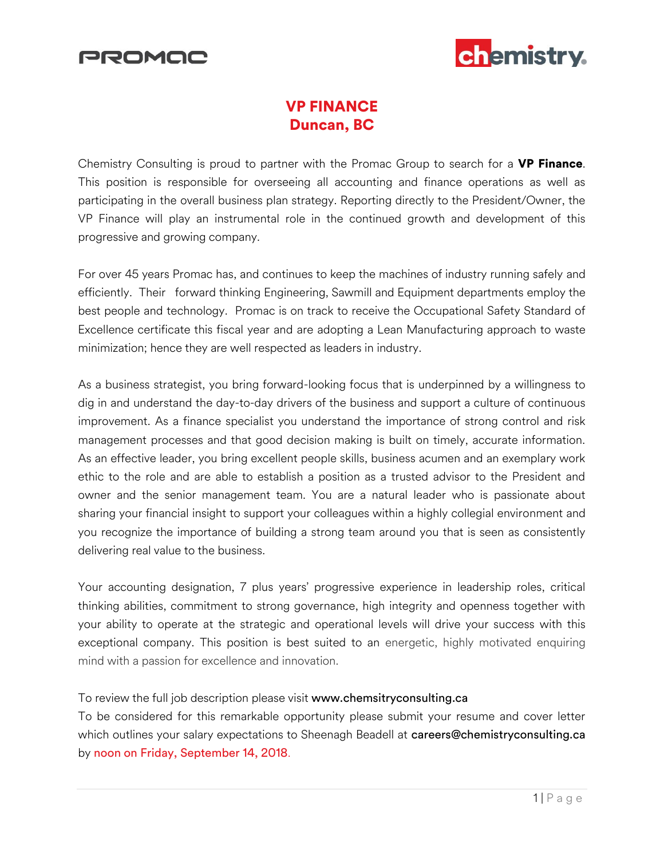



## VP FINANCE Duncan, BC

Chemistry Consulting is proud to partner with the Promac Group to search for a **VP Finance**. This position is responsible for overseeing all accounting and finance operations as well as participating in the overall business plan strategy. Reporting directly to the President/Owner, the VP Finance will play an instrumental role in the continued growth and development of this progressive and growing company.

For over 45 years Promac has, and continues to keep the machines of industry running safely and efficiently. Their forward thinking Engineering, Sawmill and Equipment departments employ the best people and technology. Promac is on track to receive the Occupational Safety Standard of Excellence certificate this fiscal year and are adopting a Lean Manufacturing approach to waste minimization; hence they are well respected as leaders in industry.

As a business strategist, you bring forward-looking focus that is underpinned by a willingness to dig in and understand the day-to-day drivers of the business and support a culture of continuous improvement. As a finance specialist you understand the importance of strong control and risk management processes and that good decision making is built on timely, accurate information. As an effective leader, you bring excellent people skills, business acumen and an exemplary work ethic to the role and are able to establish a position as a trusted advisor to the President and owner and the senior management team. You are a natural leader who is passionate about sharing your financial insight to support your colleagues within a highly collegial environment and you recognize the importance of building a strong team around you that is seen as consistently delivering real value to the business.

Your accounting designation, 7 plus years' progressive experience in leadership roles, critical thinking abilities, commitment to strong governance, high integrity and openness together with your ability to operate at the strategic and operational levels will drive your success with this exceptional company. This position is best suited to an energetic, highly motivated enquiring mind with a passion for excellence and innovation.

### To review the full job description please visit www.chemsitryconsulting.ca

To be considered for this remarkable opportunity please submit your resume and cover letter which outlines your salary expectations to Sheenagh Beadell at careers@chemistryconsulting.ca by noon on Friday, September 14, 2018.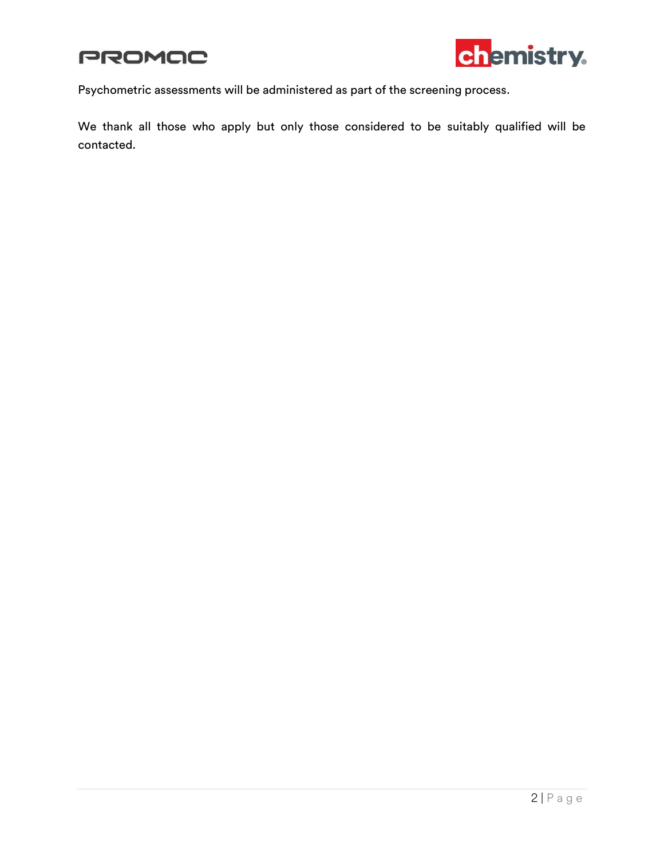



Psychometric assessments will be administered as part of the screening process.

We thank all those who apply but only those considered to be suitably qualified will be contacted.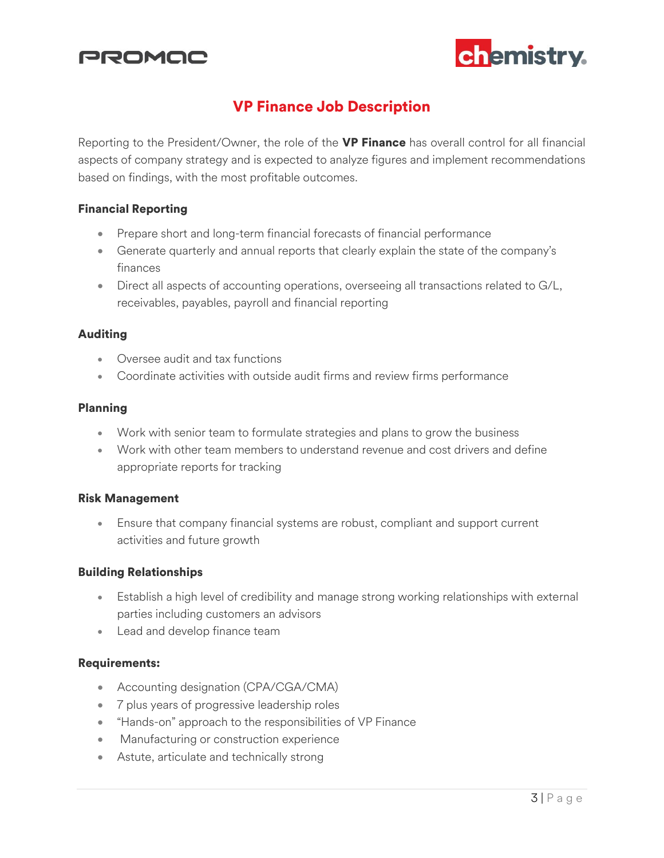



## VP Finance Job Description

Reporting to the President/Owner, the role of the VP Finance has overall control for all financial aspects of company strategy and is expected to analyze figures and implement recommendations based on findings, with the most profitable outcomes.

#### Financial Reporting

- Prepare short and long-term financial forecasts of financial performance
- Generate quarterly and annual reports that clearly explain the state of the company's finances
- Direct all aspects of accounting operations, overseeing all transactions related to G/L, receivables, payables, payroll and financial reporting

#### Auditing

- Oversee audit and tax functions
- Coordinate activities with outside audit firms and review firms performance

#### Planning

- Work with senior team to formulate strategies and plans to grow the business
- Work with other team members to understand revenue and cost drivers and define appropriate reports for tracking

#### Risk Management

 Ensure that company financial systems are robust, compliant and support current activities and future growth

#### Building Relationships

- Establish a high level of credibility and manage strong working relationships with external parties including customers an advisors
- Lead and develop finance team

#### Requirements:

- Accounting designation (CPA/CGA/CMA)
- 7 plus years of progressive leadership roles
- "Hands-on" approach to the responsibilities of VP Finance
- **Manufacturing or construction experience**
- Astute, articulate and technically strong